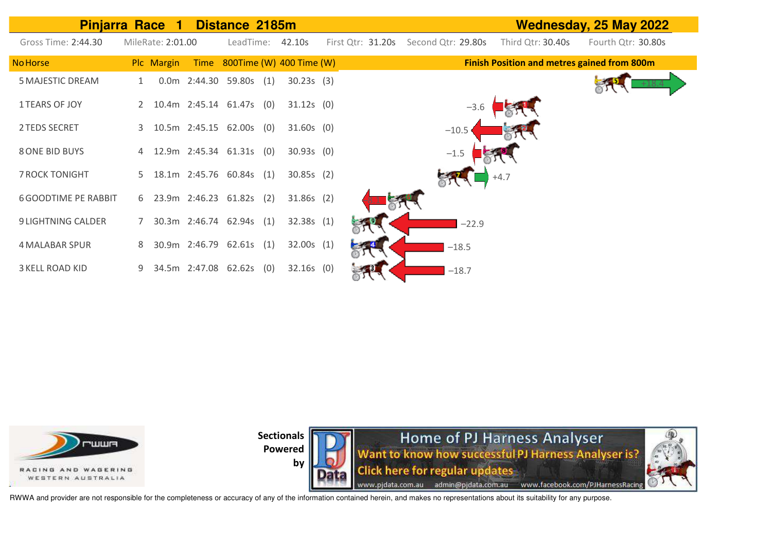| <b>Pinjarra Race 1</b>      |   |                   |             | Distance 2185m             |     |                          |                   |                    |         |                                                    | Wednesday, 25 May 2022 |
|-----------------------------|---|-------------------|-------------|----------------------------|-----|--------------------------|-------------------|--------------------|---------|----------------------------------------------------|------------------------|
| Gross Time: 2:44.30         |   | MileRate: 2:01.00 |             | LeadTime:                  |     | 42.10s                   | First Qtr: 31.20s | Second Qtr: 29.80s |         | Third Qtr: 30.40s                                  | Fourth Qtr: 30.80s     |
| <b>No Horse</b>             |   | Plc Margin        | <b>Time</b> |                            |     | 800Time (W) 400 Time (W) |                   |                    |         | <b>Finish Position and metres gained from 800m</b> |                        |
| <b>5 MAJESTIC DREAM</b>     |   |                   |             | 0.0m 2:44.30 59.80s (1)    |     | 30.23s(3)                |                   |                    |         |                                                    |                        |
| <b>1 TEARS OF JOY</b>       |   |                   |             | 10.4m 2:45.14 61.47s (0)   |     | $31.12s$ (0)             |                   |                    | $-3.6$  |                                                    |                        |
| 2 TEDS SECRET               |   |                   |             | 3 10.5m 2:45.15 62.00s (0) |     | $31.60s$ (0)             |                   | $-10.5$            |         |                                                    |                        |
| <b>8 ONE BID BUYS</b>       |   |                   |             | 4 12.9m 2:45.34 61.31s (0) |     | $30.93s$ (0)             |                   | $-1.5$             |         |                                                    |                        |
| <b>7 ROCK TONIGHT</b>       |   |                   |             | 5 18.1m 2:45.76 60.84s (1) |     | 30.85s(2)                |                   |                    |         | $+4.7$                                             |                        |
| <b>6 GOODTIME PE RABBIT</b> |   |                   |             | 6 23.9m 2:46.23 61.82s     | (2) | $31.86s$ (2)             |                   |                    |         |                                                    |                        |
| <b>9 LIGHTNING CALDER</b>   | 7 |                   |             | 30.3m 2:46.74 62.94s       | (1) | 32.38s(1)                |                   |                    | $-22.9$ |                                                    |                        |
| <b>4 MALABAR SPUR</b>       | 8 |                   |             | 30.9m 2:46.79 62.61s (1)   |     | 32.00s(1)                |                   | $-18.5$            |         |                                                    |                        |
| <b>3 KELL ROAD KID</b>      |   |                   |             | 34.5m 2:47.08 62.62s       | (0) | $32.16s$ (0)             |                   |                    | $-18.7$ |                                                    |                        |



**Sectionals** 



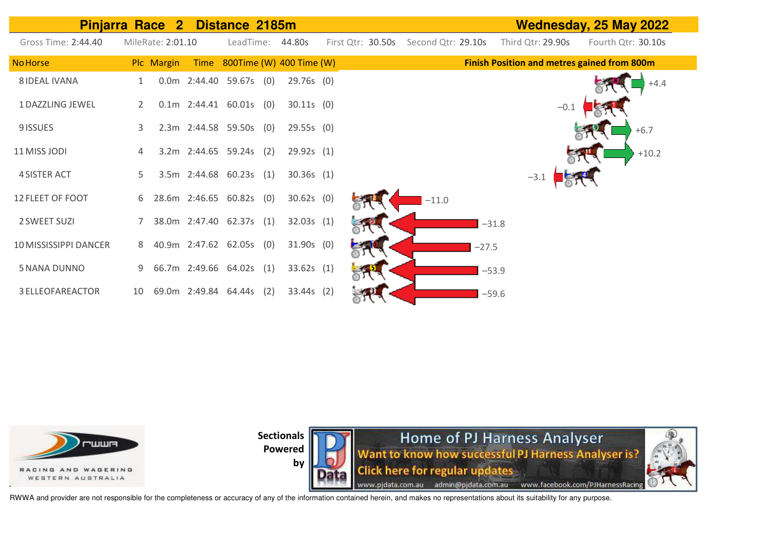| <b>Pinjarra Race 2</b>  |                |                   |                           | Distance 2185m |     |                               |                   |                    |         |                                                    | <b>Wednesday, 25 May 2022</b> |
|-------------------------|----------------|-------------------|---------------------------|----------------|-----|-------------------------------|-------------------|--------------------|---------|----------------------------------------------------|-------------------------------|
| Gross Time: 2:44.40     |                | MileRate: 2:01.10 |                           | LeadTime:      |     | 44.80s                        | First Qtr: 30.50s | Second Qtr: 29.10s |         | Third Qtr: 29.90s                                  | Fourth Qtr: 30.10s            |
| <b>No Horse</b>         |                | Plc Margin        |                           |                |     | Time 800Time (W) 400 Time (W) |                   |                    |         | <b>Finish Position and metres gained from 800m</b> |                               |
| <b>8 IDEAL IVANA</b>    | 1              |                   | $0.0m$ 2:44.40 59.67s (0) |                |     | 29.76s (0)                    |                   |                    |         |                                                    | $+4.4$                        |
| 1 DAZZLING JEWEL        | $\overline{2}$ |                   | $0.1m$ 2:44.41 60.01s (0) |                |     | $30.11s$ (0)                  |                   |                    |         | $-0.1$                                             |                               |
| 9 ISSUES                | 3              |                   | 2.3m 2:44.58 59.50s (0)   |                |     | 29.55s(0)                     |                   |                    |         |                                                    | $+6.7$                        |
| 11 MISS JODI            | 4              |                   | 3.2m 2:44.65 59.24s (2)   |                |     | 29.92s(1)                     |                   |                    |         |                                                    | $+10.2$                       |
| <b>4 SISTER ACT</b>     | 5.             |                   | 3.5m 2:44.68 60.23s (1)   |                |     | 30.36s(1)                     |                   |                    |         | $-3.1$                                             |                               |
| 12 FLEET OF FOOT        | 6              |                   | 28.6m 2:46.65 60.82s (0)  |                |     | $30.62s$ (0)                  |                   | $-11.0$            |         |                                                    |                               |
| 2 SWEET SUZI            |                |                   | 38.0m 2:47.40 62.37s (1)  |                |     | 32.03s(1)                     |                   |                    | $-31.8$ |                                                    |                               |
| 10 MISSISSIPPI DANCER   | 8              |                   | 40.9m 2:47.62 62.05s (0)  |                |     | $31.90s$ (0)                  |                   |                    | $-27.5$ |                                                    |                               |
| 5 NANA DUNNO            | 9              |                   | 66.7m 2:49.66 64.02s (1)  |                |     | 33.62s(1)                     |                   |                    | $-53.9$ |                                                    |                               |
| <b>3 ELLEOFAREACTOR</b> | 10             |                   | 69.0m 2:49.84 64.44s      |                | (2) | $33.44s$ (2)                  |                   |                    | $-59.6$ |                                                    |                               |



by

Home of PJ Harness Analyser<br>Want to know how successful PJ Harness Analyser is? **Click here for regular updates** www.pjdata.com.au admin@pjdata.com.au www.facebook.com/PJHarnessRacing

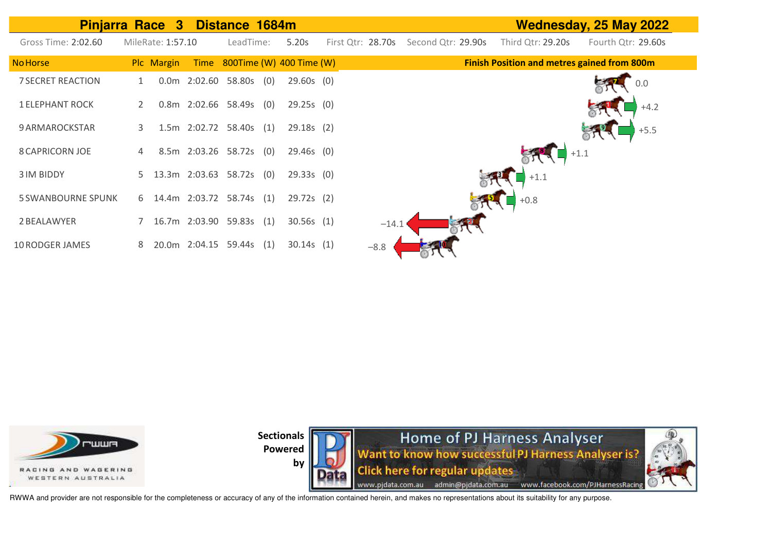| <b>Pinjarra Race 3</b>    |                       |                   |                      | Distance 1684m            |     |                          |                   |         |                    |                                                    | <b>Wednesday, 25 May 2022</b> |
|---------------------------|-----------------------|-------------------|----------------------|---------------------------|-----|--------------------------|-------------------|---------|--------------------|----------------------------------------------------|-------------------------------|
| Gross Time: 2:02.60       |                       | MileRate: 1:57.10 |                      | LeadTime:                 |     | 5.20s                    | First Otr: 28.70s |         | Second Qtr: 29.90s | Third Qtr: 29.20s                                  | Fourth Qtr: 29.60s            |
| <b>No Horse</b>           |                       | Plc Margin        | Time                 |                           |     | 800Time (W) 400 Time (W) |                   |         |                    | <b>Finish Position and metres gained from 800m</b> |                               |
| <b>7 SECRET REACTION</b>  | 1                     |                   |                      | $0.0m$ 2:02.60 58.80s (0) |     | $29.60s$ (0)             |                   |         |                    |                                                    | 0.0                           |
| <b>1 ELEPHANT ROCK</b>    | $\mathbf{2}^{\prime}$ |                   |                      | 0.8m 2:02.66 58.49s       | (0) | 29.25s(0)                |                   |         |                    |                                                    | $+4.2$                        |
| 9 ARMAROCKSTAR            | 3                     |                   |                      | 1.5m 2:02.72 58.40s       | (1) | 29.18s(2)                |                   |         |                    |                                                    | $+5.5$                        |
| <b>8 CAPRICORN JOE</b>    | 4                     |                   |                      | 8.5m 2:03.26 58.72s       | (O) | $29.46s$ (0)             |                   |         |                    |                                                    | $+1.1$                        |
| <b>3 IM BIDDY</b>         |                       |                   |                      | 5 13.3m 2:03.63 58.72s    | (0) | 29.33s(0)                |                   |         |                    | $+1.1$                                             |                               |
| <b>5 SWANBOURNE SPUNK</b> |                       |                   |                      | 6 14.4m 2:03.72 58.74s    | (1) | $29.72s$ (2)             |                   |         |                    | $+0.8$                                             |                               |
| 2 BEALAWYER               |                       |                   | 16.7m 2:03.90 59.83s |                           | (1) | 30.56s(1)                |                   | $-14.1$ |                    |                                                    |                               |
| <b>10 RODGER JAMES</b>    | 8                     |                   | 20.0m 2:04.15        | 59.44s                    | (1) | 30.14s(1)                | $-8.8$            |         |                    |                                                    |                               |



**by** 



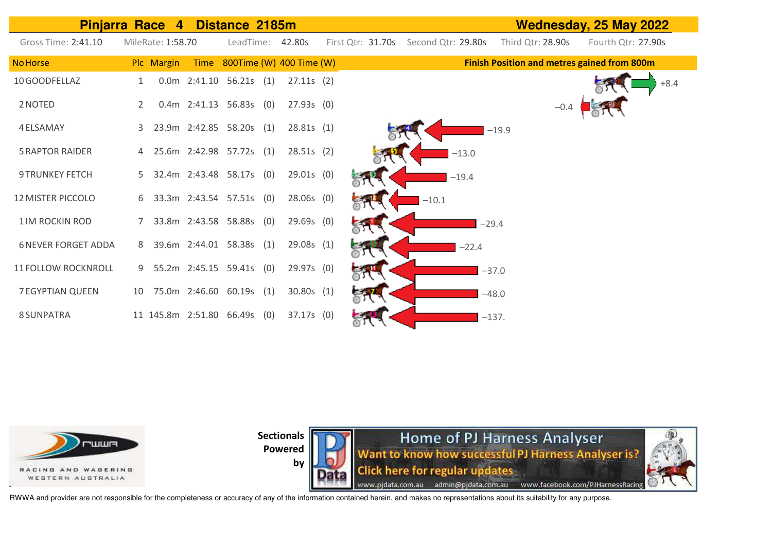| <b>Pinjarra Race</b>       |                | $\boldsymbol{4}$  |                              |           |                               | <b>Wednesday, 25 May 2022</b>        |         |         |                   |        |                                                    |
|----------------------------|----------------|-------------------|------------------------------|-----------|-------------------------------|--------------------------------------|---------|---------|-------------------|--------|----------------------------------------------------|
| Gross Time: 2:41.10        |                | MileRate: 1:58.70 |                              | LeadTime: | 42.80s                        | First Qtr: 31.70s Second Qtr: 29.80s |         |         | Third Qtr: 28.90s |        | Fourth Qtr: 27.90s                                 |
| <b>No Horse</b>            |                | Plc Margin        |                              |           | Time 800Time (W) 400 Time (W) |                                      |         |         |                   |        | <b>Finish Position and metres gained from 800m</b> |
| 10 GOODFELLAZ              |                |                   | $0.0m$ 2:41.10 56.21s (1)    |           | $27.11s$ (2)                  |                                      |         |         |                   |        | $+8.4$                                             |
| 2 NOTED                    | $\overline{2}$ |                   | $0.4m$ 2:41.13 56.83s (0)    |           | $27.93s$ (0)                  |                                      |         |         |                   | $-0.4$ |                                                    |
| 4 ELSAMAY                  | 3              |                   | 23.9m 2:42.85 58.20s (1)     |           | 28.81s(1)                     |                                      |         |         | $-19.9$           |        |                                                    |
| <b>5 RAPTOR RAIDER</b>     |                |                   | 25.6m 2:42.98 57.72s (1)     |           | 28.51s(2)                     |                                      |         | $-13.0$ |                   |        |                                                    |
| <b>9 TRUNKEY FETCH</b>     | 5.             |                   | 32.4m 2:43.48 58.17s (0)     |           | $29.01s$ (0)                  |                                      |         | $-19.4$ |                   |        |                                                    |
| <b>12 MISTER PICCOLO</b>   | 6.             |                   | 33.3m 2:43.54 57.51s (0)     |           | 28.06s (0)                    |                                      | $-10.1$ |         |                   |        |                                                    |
| 1 IM ROCKIN ROD            | 7              |                   | 33.8m 2:43.58 58.88s (0)     |           | $29.69s$ (0)                  |                                      |         |         | $-29.4$           |        |                                                    |
| <b>6 NEVER FORGET ADDA</b> | 8              |                   | 39.6m 2:44.01 58.38s (1)     |           | 29.08s (1)                    |                                      |         | $-22.4$ |                   |        |                                                    |
| <b>11 FOLLOW ROCKNROLL</b> | 9              |                   | 55.2m 2:45.15 59.41s (0)     |           | 29.97s (0)                    |                                      |         |         | $-37.0$           |        |                                                    |
| <b>7 EGYPTIAN QUEEN</b>    | 10             |                   | 75.0m 2:46.60 60.19s (1)     |           | 30.80s(1)                     |                                      |         |         | $-48.0$           |        |                                                    |
| 8 SUNPATRA                 |                |                   | 11 145.8m 2:51.80 66.49s (0) |           | $37.17s$ (0)                  |                                      |         |         | $-137.$           |        |                                                    |



**by** 

**Home of PJ Harness Analyser**<br>Want to know how successful PJ Harness Analyser is? **Click here for regular updates** www.pjdata.com.au admin@pjdata.com.au www.facebook.com/PJHarnessRacing

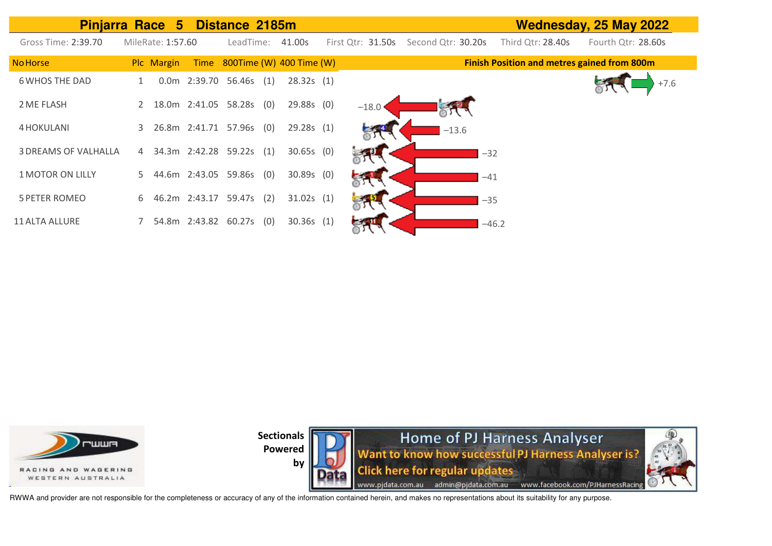| Pinjarra Race 5 Distance 2185m |    |                   |               |                          |     |                          |                     |                    |         |                                                    | Wednesday, 25 May 2022 |
|--------------------------------|----|-------------------|---------------|--------------------------|-----|--------------------------|---------------------|--------------------|---------|----------------------------------------------------|------------------------|
| Gross Time: 2:39.70            |    | MileRate: 1:57.60 |               | LeadTime:                |     | 41.00s                   | First $Qtr: 31.50s$ | Second Qtr: 30.20s |         | Third Qtr: 28.40s                                  | Fourth Qtr: 28.60s     |
| <b>No Horse</b>                |    | Plc Margin        | Time          |                          |     | 800Time (W) 400 Time (W) |                     |                    |         | <b>Finish Position and metres gained from 800m</b> |                        |
| <b>6 WHOS THE DAD</b>          |    |                   |               | 0.0m 2:39.70 56.46s      | (1) | 28.32s(1)                |                     |                    |         |                                                    | $+7.6$                 |
| 2 ME FLASH                     | 2  |                   |               | 18.0m  2:41.05  58.28s   | (0) | 29.88s (0)               | $-18.0$             |                    |         |                                                    |                        |
| 4 HOKULANI                     | 3  |                   |               | 26.8m 2:41.71 57.96s (0) |     | 29.28s(1)                |                     | $-13.6$            |         |                                                    |                        |
| <b>3 DREAMS OF VALHALLA</b>    | 4  |                   |               | 34.3m 2:42.28 59.22s     | (1) | $30.65s$ (0)             |                     |                    | $-32$   |                                                    |                        |
| <b>1 MOTOR ON LILLY</b>        | 5. |                   |               | 44.6m 2:43.05 59.86s (0) |     | $30.89s$ (0)             |                     |                    | $-41$   |                                                    |                        |
| <b>5 PETER ROMEO</b>           | 6  |                   | 46.2m 2:43.17 | 59.47s                   | (2) | 31.02s(1)                |                     |                    | $-35$   |                                                    |                        |
| <b>11 ALTA ALLURE</b>          |    |                   |               | 54.8m 2:43.82 60.27s     | (0) | $30.36s$ (1)             |                     |                    | $-46.2$ |                                                    |                        |



by

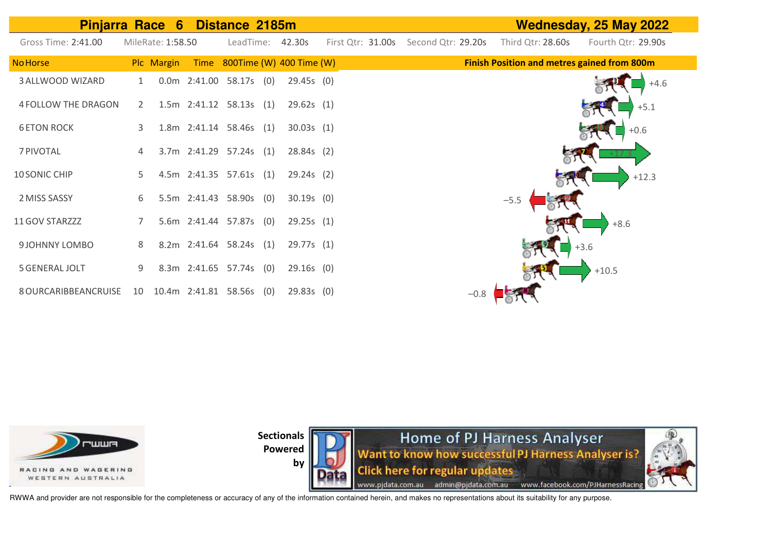| <b>Pinjarra Race 6</b> |    |                   |                         | Distance 2185m |     |                               |                   |                    | <b>Wednesday, 25 May 2022</b>                      |
|------------------------|----|-------------------|-------------------------|----------------|-----|-------------------------------|-------------------|--------------------|----------------------------------------------------|
| Gross Time: 2:41.00    |    | MileRate: 1:58.50 |                         |                |     | LeadTime: 42.30s              | First Qtr: 31.00s | Second Qtr: 29.20s | Third Qtr: 28.60s<br>Fourth Qtr: 29.90s            |
| <b>No Horse</b>        |    | Plc Margin        |                         |                |     | Time 800Time (W) 400 Time (W) |                   |                    | <b>Finish Position and metres gained from 800m</b> |
| 3 ALLWOOD WIZARD       |    |                   | $0.0m$ 2:41.00          | $58.17s$ (0)   |     | 29.45s(0)                     |                   |                    | $+4.6$                                             |
| 4 FOLLOW THE DRAGON    | 2  |                   | 1.5m 2:41.12 58.13s (1) |                |     | 29.62s(1)                     |                   |                    | $+5.1$                                             |
| <b>6 ETON ROCK</b>     | 3  |                   | 1.8m 2:41.14 58.46s (1) |                |     | 30.03s(1)                     |                   |                    | $+0.6$                                             |
| 7 PIVOTAL              | 4  |                   | 3.7m 2:41.29 57.24s (1) |                |     | 28.84s(2)                     |                   |                    |                                                    |
| 10 SONIC CHIP          | 5. |                   | 4.5m 2:41.35 57.61s (1) |                |     | $29.24s$ (2)                  |                   |                    | $+12.3$                                            |
| 2 MISS SASSY           | 6  |                   | 5.5m 2:41.43 58.90s (0) |                |     | $30.19s$ (0)                  |                   |                    | $-5.5$                                             |
| 11 GOV STARZZZ         |    |                   | 5.6m 2:41.44 57.87s (0) |                |     | 29.25s(1)                     |                   |                    | $+8.6$                                             |
| 9 JOHNNY LOMBO         | 8  |                   | 8.2m 2:41.64 58.24s (1) |                |     | 29.77s (1)                    |                   |                    | $+3.6$                                             |
| <b>5 GENERAL JOLT</b>  | 9  |                   | 8.3m 2:41.65 57.74s (0) |                |     | $29.16s$ (0)                  |                   |                    | $+10.5$                                            |
| 8 OURCARIBBEANCRUISE   | 10 |                   | 10.4m 2:41.81           | 58.56s         | (0) | 29.83s(0)                     |                   | $-0.8$             |                                                    |



**by** 

**Home of PJ Harness Analyser**<br>Want to know how successful PJ Harness Analyser is? **Click here for regular updates** www.pjdata.com.au admin@pjdata.com.au www.facebook.com/PJHarnessRacing

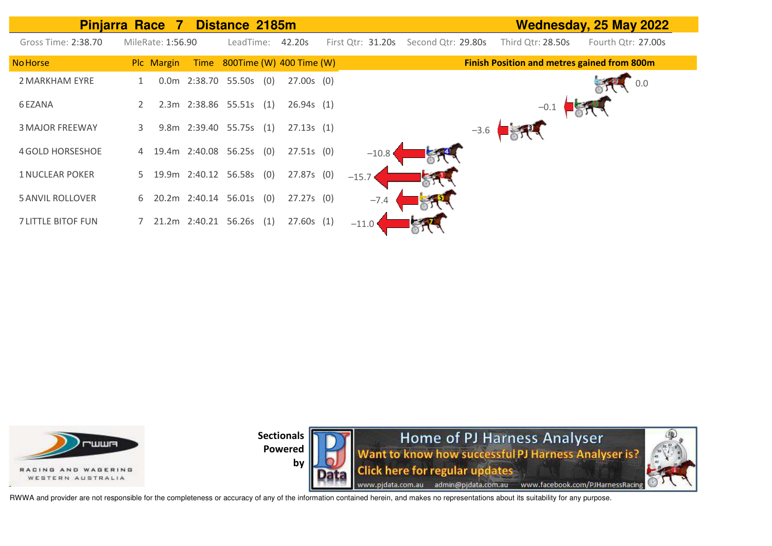|                           | <b>Pinjarra Race</b><br>- 7 | Distance 2185m           |                               |                   |                    |        |                                                    | Wednesday, 25 May 2022 |
|---------------------------|-----------------------------|--------------------------|-------------------------------|-------------------|--------------------|--------|----------------------------------------------------|------------------------|
| Gross Time: 2:38.70       | MileRate: 1:56.90           | LeadTime:                | 42.20s                        | First Qtr: 31.20s | Second Qtr: 29.80s |        | Third Qtr: 28.50s                                  | Fourth Qtr: 27.00s     |
| <b>No Horse</b>           | Plc Margin                  |                          | Time 800Time (W) 400 Time (W) |                   |                    |        | <b>Finish Position and metres gained from 800m</b> |                        |
| 2 MARKHAM EYRE            |                             | 0.0m 2:38.70 55.50s      | $27.00s$ (0)<br>(0)           |                   |                    |        |                                                    | 0.0                    |
| 6 EZANA                   |                             | 2.3m 2:38.86 55.51s (1)  | 26.94s(1)                     |                   |                    |        | $-0.1$                                             |                        |
| <b>3 MAJOR FREEWAY</b>    | 3.                          | 9.8m 2:39.40 55.75s (1)  | 27.13s(1)                     |                   |                    | $-3.6$ |                                                    |                        |
| <b>4 GOLD HORSESHOE</b>   | 4                           | 19.4m 2:40.08 56.25s (0) | $27.51s$ (0)                  | $-10.8$           |                    |        |                                                    |                        |
| <b>1 NUCLEAR POKER</b>    | 5                           | 19.9m 2:40.12 56.58s (0) | 27.87s(0)                     | $-15.7$           |                    |        |                                                    |                        |
| <b>5 ANVIL ROLLOVER</b>   | 6                           | 20.2m 2:40.14 56.01s (0) | $27.27s$ (0)                  | $-7.4$            |                    |        |                                                    |                        |
| <b>7 LITTLE BITOF FUN</b> |                             | 21.2m 2:40.21 56.26s (1) | 27.60s(1)                     | $-11.0$           |                    |        |                                                    |                        |





RWWA and provider are not responsible for the completeness or accuracy of any of the information contained herein, and makes no representations about its suitability for any purpose.

**by**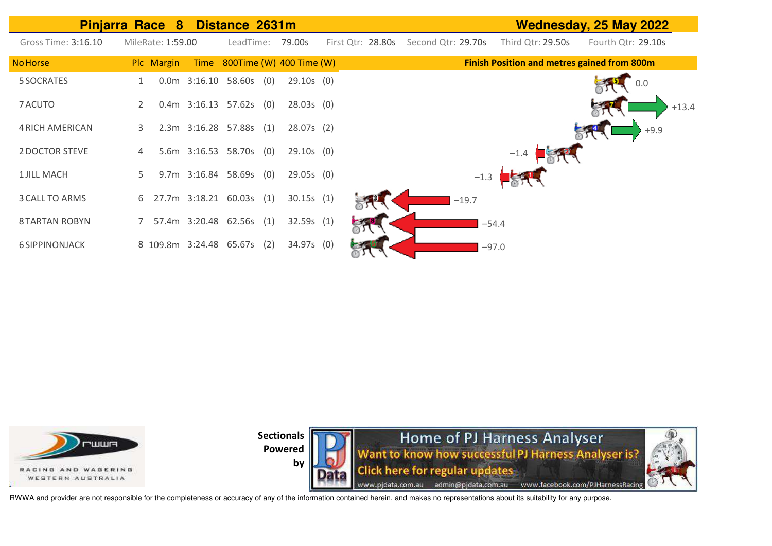**Pinjarra Race 8 Distance 2631m Wednesday, 25 May 2022 Finish Position and metres gained from 800m** Gross Time: 3:16.10 MileRate: 1:59.00 LeadTime: 79.00s First Qtr: 28.80s Second Qtr: 29.70s Third Qtr: 29.50s Fourth Qtr: 29.10s NoHorse Plc Margin Time 800Time (W) 400 Time (W) 5 SOCRATES 1 0.0m 3:16.10 58.60s (0) 29.10s (0) 7ACUTO 2 0.4m 3:16.13 57.62s (0) 28.03s (0) 4RICH AMERICAN 3 2.3m 3:16.28 57.88s (1) 28.07s (2) 2DOCTOR STEVE 4 5.6m 3:16.53 58.70s (0) 29.10s (0) 1 JILL MACH 5 9.7m 3:16.84 58.69s (0) 29.05s (0) 3CALL TO ARMS 6 27.7m 3:18.21 60.03s (1) 30.15s (1) 8 TARTAN ROBYN 7 57.4m 3:20.48 62.56s (1) 32.59s (1) 6 SIPPINONJACK 8 109.8m 3:24.48 65.67s (2) 34.97s (0) 0.0 +13.4 +9.9 –1.4  $-1.3$ –19.7 –54.4 –97.0



**Sectionals Powered**